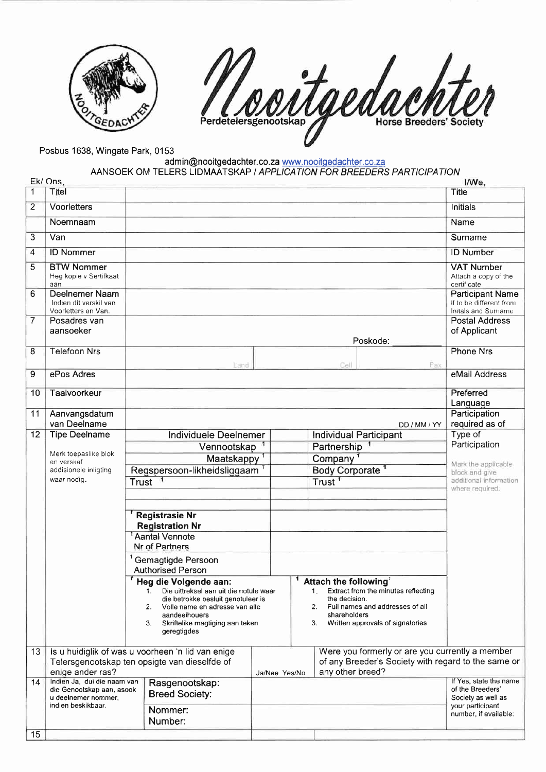

11 oortgede **Horse Breeders' Society** 

Posbus 1638, Wingate Park, 0153

admin@nooitgedachter.co.za <u>www.nooitgedachter.co.za</u> AANSOEK OM TELERS LIDMAATSKAP I APPLICATION FOR BREEDERS PARTICIPATION

|    | Ek/ Ons,                                                                           |                                                                                                                                                                                                                        |                                                                           |                                                                   |                                                                                                               | I/We,                                                            |
|----|------------------------------------------------------------------------------------|------------------------------------------------------------------------------------------------------------------------------------------------------------------------------------------------------------------------|---------------------------------------------------------------------------|-------------------------------------------------------------------|---------------------------------------------------------------------------------------------------------------|------------------------------------------------------------------|
| 1  | Titel                                                                              |                                                                                                                                                                                                                        |                                                                           |                                                                   |                                                                                                               | <b>Title</b>                                                     |
| 2  | Voorletters                                                                        |                                                                                                                                                                                                                        |                                                                           |                                                                   |                                                                                                               | Initials                                                         |
|    | Noemnaam                                                                           |                                                                                                                                                                                                                        |                                                                           |                                                                   |                                                                                                               | Name                                                             |
| 3  | Van                                                                                |                                                                                                                                                                                                                        |                                                                           |                                                                   |                                                                                                               | Surname                                                          |
| 4  | <b>ID Nommer</b>                                                                   |                                                                                                                                                                                                                        |                                                                           |                                                                   |                                                                                                               | <b>ID Number</b>                                                 |
| 5  | <b>BTW Nommer</b><br>Heg kopie v Sertifkaat<br>aan                                 |                                                                                                                                                                                                                        |                                                                           |                                                                   |                                                                                                               | <b>VAT Number</b><br>Attach a copy of the<br>certificate         |
| 6  | Deelnemer Naam<br>Indien dit verskil van<br>Voorletters en Van.                    |                                                                                                                                                                                                                        | <b>Participant Name</b><br>If to be different from<br>Initals and Surname |                                                                   |                                                                                                               |                                                                  |
| 7  | Posadres van<br>aansoeker                                                          |                                                                                                                                                                                                                        |                                                                           |                                                                   |                                                                                                               | <b>Postal Address</b>                                            |
|    |                                                                                    |                                                                                                                                                                                                                        |                                                                           |                                                                   | Poskode:                                                                                                      | of Applicant                                                     |
| 8  | <b>Telefoon Nrs</b>                                                                |                                                                                                                                                                                                                        |                                                                           |                                                                   |                                                                                                               | <b>Phone Nrs</b>                                                 |
| 9  | ePos Adres                                                                         | Land                                                                                                                                                                                                                   |                                                                           | Cell                                                              | Fax                                                                                                           | eMail Address                                                    |
|    |                                                                                    |                                                                                                                                                                                                                        |                                                                           |                                                                   |                                                                                                               |                                                                  |
| 10 | Taalvoorkeur                                                                       |                                                                                                                                                                                                                        |                                                                           |                                                                   |                                                                                                               | Preferred<br>Language                                            |
| 11 | Aanvangsdatum                                                                      |                                                                                                                                                                                                                        |                                                                           |                                                                   |                                                                                                               | Participation                                                    |
|    | van Deelname                                                                       |                                                                                                                                                                                                                        |                                                                           |                                                                   | DD / MM / YY                                                                                                  | required as of                                                   |
| 12 | <b>Tipe Deelname</b>                                                               | Individuele Deelnemer                                                                                                                                                                                                  |                                                                           |                                                                   | <b>Individual Participant</b>                                                                                 | Type of<br>Participation                                         |
|    | Merk toepaslike blok<br>en verskaf<br>addisionele inligting<br>waar nodig.         | Partnership<br>Vennootskap<br>Company<br>Maatskappy <sup>1</sup>                                                                                                                                                       |                                                                           |                                                                   |                                                                                                               |                                                                  |
|    |                                                                                    | Regspersoon-likheidsliggaam <sup>1</sup>                                                                                                                                                                               | <b>Body Corporate</b>                                                     |                                                                   |                                                                                                               | Mark the applicable<br>block and give                            |
|    |                                                                                    | Trust                                                                                                                                                                                                                  | Trust <sup>1</sup>                                                        |                                                                   |                                                                                                               | additional information                                           |
|    |                                                                                    |                                                                                                                                                                                                                        |                                                                           |                                                                   |                                                                                                               | where required.                                                  |
|    |                                                                                    | <b>Registrasie Nr</b><br><b>Registration Nr</b><br><b>Aantal Vennote</b><br>Nr of Partners                                                                                                                             |                                                                           |                                                                   |                                                                                                               |                                                                  |
|    |                                                                                    | <sup>1</sup> Gemagtigde Persoon                                                                                                                                                                                        |                                                                           |                                                                   |                                                                                                               |                                                                  |
|    |                                                                                    | <b>Authorised Person</b>                                                                                                                                                                                               |                                                                           |                                                                   |                                                                                                               |                                                                  |
|    |                                                                                    | Heg die Volgende aan:<br>Die uittreksel aan uit die notule waar<br>die betrokke besluit genotuleer is<br>Volle name en adresse van alle<br>2.<br>aandeelhouers<br>Skriftelike magtiging aan teken<br>3.<br>geregtigdes |                                                                           | Attach the following<br>the decision.<br>2.<br>shareholders<br>3. | 1. Extract from the minutes reflecting<br>Full names and addresses of all<br>Written approvals of signatories |                                                                  |
| 13 |                                                                                    | Is u huidiglik of was u voorheen 'n lid van enige                                                                                                                                                                      |                                                                           |                                                                   | Were you formerly or are you currently a member                                                               |                                                                  |
|    | Telersgenootskap ten opsigte van dieselfde of<br>enige ander ras?<br>Ja/Nee Yes/No |                                                                                                                                                                                                                        |                                                                           | any other breed?                                                  | of any Breeder's Society with regard to the same or                                                           |                                                                  |
| 14 | Indien Ja, dui die naam van<br>die Genootskap aan, asook<br>u deelnemer nommer,    | Rasgenootskap:<br><b>Breed Society:</b>                                                                                                                                                                                |                                                                           |                                                                   |                                                                                                               | If Yes, state the name<br>of the Breeders'<br>Society as well as |
|    | indien beskikbaar.                                                                 | Nommer:                                                                                                                                                                                                                |                                                                           |                                                                   |                                                                                                               | your participant<br>number, if available:                        |
|    |                                                                                    | Number:                                                                                                                                                                                                                |                                                                           |                                                                   |                                                                                                               |                                                                  |
| 15 |                                                                                    |                                                                                                                                                                                                                        |                                                                           |                                                                   |                                                                                                               |                                                                  |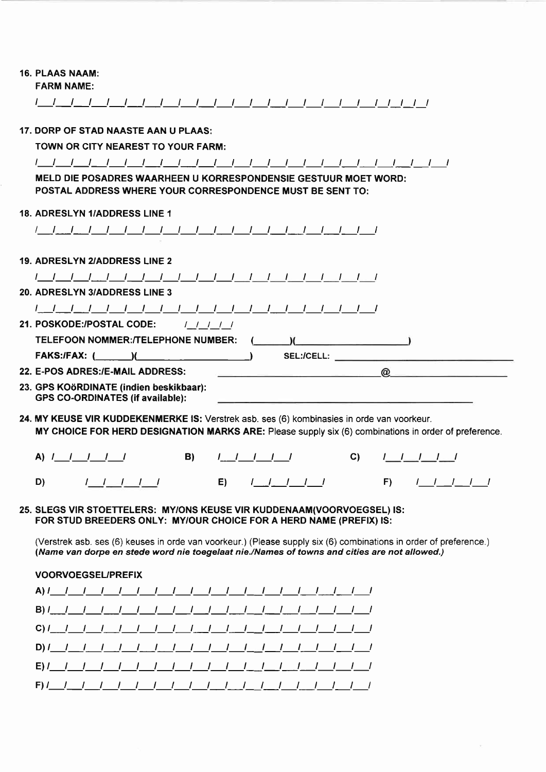| 16. PLAAS NAAM: |  |
|-----------------|--|
|                 |  |

FARM NAME:

| 17. DORP OF STAD NAASTE AAN U PLAAS:                                                                                                                                                                                                                |
|-----------------------------------------------------------------------------------------------------------------------------------------------------------------------------------------------------------------------------------------------------|
| TOWN OR CITY NEAREST TO YOUR FARM:                                                                                                                                                                                                                  |
|                                                                                                                                                                                                                                                     |
| MELD DIE POSADRES WAARHEEN U KORRESPONDENSIE GESTUUR MOET WORD:<br>POSTAL ADDRESS WHERE YOUR CORRESPONDENCE MUST BE SENT TO:                                                                                                                        |
| <b>18. ADRESLYN 1/ADDRESS LINE 1</b>                                                                                                                                                                                                                |
|                                                                                                                                                                                                                                                     |
|                                                                                                                                                                                                                                                     |
| <b>19. ADRESLYN 2/ADDRESS LINE 2</b>                                                                                                                                                                                                                |
|                                                                                                                                                                                                                                                     |
| <b>20. ADRESLYN 3/ADDRESS LINE 3</b>                                                                                                                                                                                                                |
|                                                                                                                                                                                                                                                     |
| <b>21. POSKODE:/POSTAL CODE:</b><br>11111                                                                                                                                                                                                           |
| TELEFOON NOMMER:/TELEPHONE NUMBER:                                                                                                                                                                                                                  |
| FAKS:/FAX: ( )( )<br>SEL:/CELL: And the set of the set of the set of the set of the set of the set of the set of the set of the set of the set of the set of the set of the set of the set of the set of the set of the set of the set of the set o |
| 22. E-POS ADRES:/E-MAIL ADDRESS:<br>$\circledcirc$                                                                                                                                                                                                  |
| 23. GPS KOöRDINATE (indien beskikbaar):<br><b>GPS CO-ORDINATES (if available):</b>                                                                                                                                                                  |
| 24. MY KEUSE VIR KUDDEKENMERKE IS: Verstrek asb. ses (6) kombinasies in orde van voorkeur.<br>MY CHOICE FOR HERD DESIGNATION MARKS ARE: Please supply six (6) combinations in order of preference.                                                  |
| A) $1 - 1 - 1 - 1$<br>B)<br>C)<br>$I = I - I - I - I$<br>$1$ $1$ $1$ $1$ $1$                                                                                                                                                                        |
| D)<br>E)<br>$F$ )<br>$1$ $1$ $1$ $1$ $1$<br>$1 \quad 1 \quad 1 \quad 1 \quad 1$<br>11111                                                                                                                                                            |
|                                                                                                                                                                                                                                                     |
|                                                                                                                                                                                                                                                     |

25. SLEGS VIR STOETTELERS: MY/ONS KEUSE vlR KUDDENAAM(VOORVOEGSEL) lS: FOR STUD BREEDERS ONLY: MY/OUR CHOICE FOR A HERD NAME (PREFIX) !S:

(Verstrek asb. ses (6) keuses in orde van voorkeur.) (Please supply six (6) combinations in order of preference.) (Name van dorpe en stede word nie toegelaat nie./Names of towns and cities are not allowed.)

## VOORVOEGSEUPREFIX

|  | $E$ ) $I = I - I - I - I - I - I - I - I - I - I - I - I - I - I - I - I - I - I$ |  |  |  |  |  |  |  |  |
|--|-----------------------------------------------------------------------------------|--|--|--|--|--|--|--|--|
|  |                                                                                   |  |  |  |  |  |  |  |  |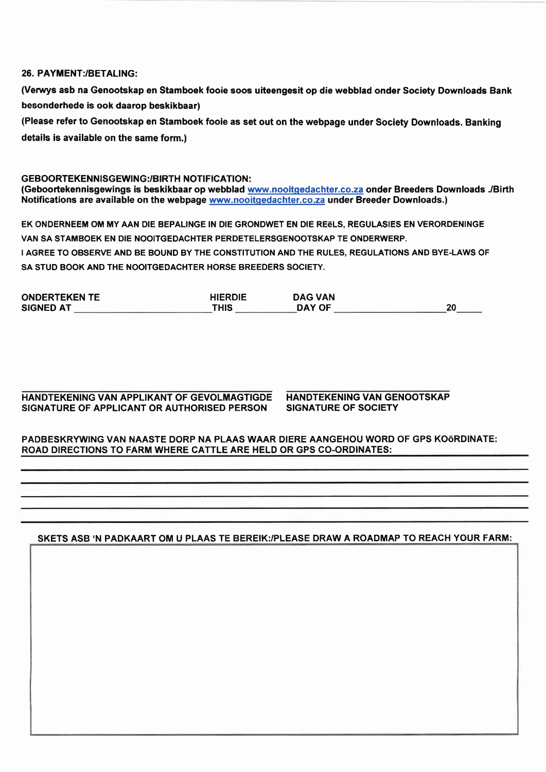## 26. PAYMENT:/BETALING:

(Venrys asb na Genootskap en Stamboek fooie soos uiteengesit op die webblad onder Society Downloads Bank besonderhede is ook daarop beskikbaar)

(Please refer to Genootskap en Stamboek fooie as set out on the webpage under Society Downloads. Banking details is available on the same form.)

GEBOORTEKENNISGEWING / RIRTH NOTIFICATION . (Geboortekennisgewings is beskikbaar op webblad www.nooitgedachter.co.za onder Breeders Downloads ./Birth Notifications are available on the webpage www.nooitqedachter.co.za under Breeder Downloads.)

EK ONDERNEEM OM MY AAN DIE BEPALINGE IN DlE GRONDWET EN DIE RE6LS, REGULASIES EN VERORDENINGE VAN SA STAMBOEK EN DIE NOOITGEDACHTER PERDETELERSGENOOTSKAP TE ONDERWERP. I AGREE TO OBSERVE AND BE BOUND BY THE CONSTITUTION AND THE RULES, REGULATIONS AND BYE-LAWS OF SA STUD BOOK AND THE NOOITGEDACHTER HORSE BREEDERS SOCIETY.

| <b>ONDERTEKEN TE</b> | <b>HIERDIE</b> | <b>DAG VAN</b> |    |
|----------------------|----------------|----------------|----|
| <b>SIGNED AT</b>     | THIS           | DAY OF         | 20 |

HANDTEKENING VAN APPLIKANT OF GEVOLMAGTIGDE SIGNATURE OF APPLICANT OR AUTHORISED PERSON

HANDTEKENING VAN GENOOTSKAP SIGNATURE OF SOCIETY

## PADBESKRYWING VAN NAASTE DORP NA PLAAS WAAR DIERE AANGEHOU WORD OF GPS KOÖRDINATE: ROAD DIRECTIONS TO FARM WHERE CATTLE ARE HELD OR GPS CO-ORDINATES:

SKETS ASB 'N PADKAART OM U PLAAS TE BEREIK:/PLEASE DRAW A ROADMAP TO REACH YOUR FARM: